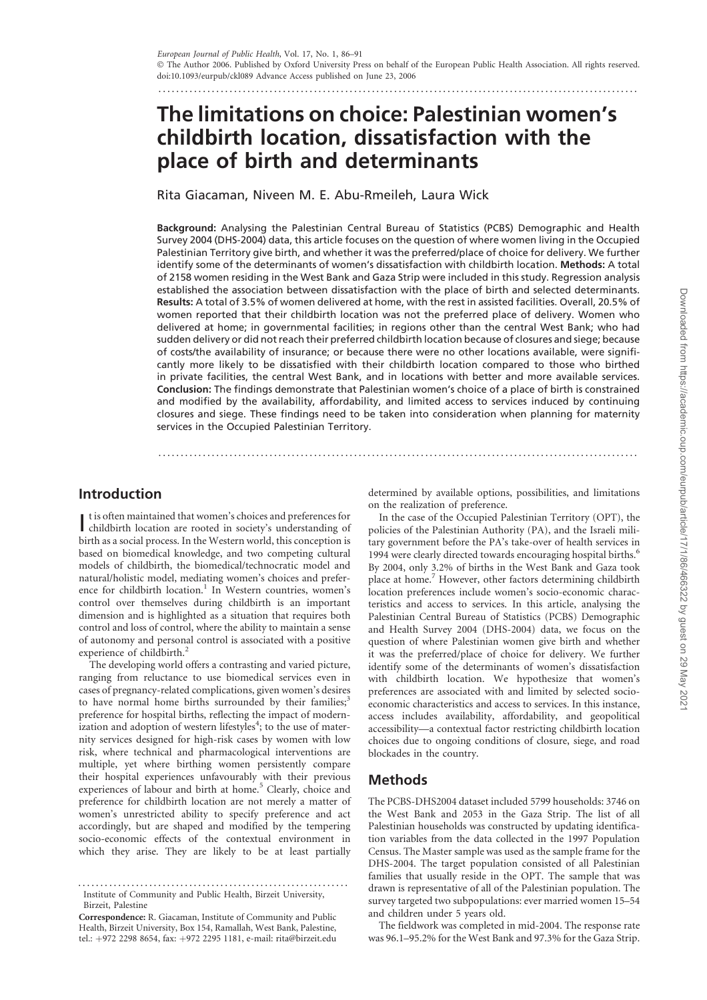............................................................................................................

# The limitations on choice: Palestinian women's childbirth location, dissatisfaction with the place of birth and determinants

Rita Giacaman, Niveen M. E. Abu-Rmeileh, Laura Wick

Background: Analysing the Palestinian Central Bureau of Statistics (PCBS) Demographic and Health Survey 2004 (DHS-2004) data, this article focuses on the question of where women living in the Occupied Palestinian Territory give birth, and whether it was the preferred/place of choice for delivery. We further identify some of the determinants of women's dissatisfaction with childbirth location. Methods: A total of 2158 women residing in the West Bank and Gaza Strip were included in this study. Regression analysis established the association between dissatisfaction with the place of birth and selected determinants. Results: A total of 3.5% of women delivered at home, with the rest in assisted facilities. Overall, 20.5% of women reported that their childbirth location was not the preferred place of delivery. Women who delivered at home; in governmental facilities; in regions other than the central West Bank; who had sudden delivery or did not reach their preferred childbirth location because of closures and siege; because of costs/the availability of insurance; or because there were no other locations available, were significantly more likely to be dissatisfied with their childbirth location compared to those who birthed in private facilities, the central West Bank, and in locations with better and more available services. Conclusion: The findings demonstrate that Palestinian women's choice of a place of birth is constrained and modified by the availability, affordability, and limited access to services induced by continuing closures and siege. These findings need to be taken into consideration when planning for maternity services in the Occupied Palestinian Territory.

............................................................................................................

# Introduction

It is often maintained that women's choices and preferences for childbirth location are rooted in society's understanding of childbirth location are rooted in society's understanding of birth as a social process. In the Western world, this conception is based on biomedical knowledge, and two competing cultural models of childbirth, the biomedical/technocratic model and natural/holistic model, mediating women's choices and preference for childbirth location.<sup>1</sup> In Western countries, women's control over themselves during childbirth is an important dimension and is highlighted as a situation that requires both control and loss of control, where the ability to maintain a sense of autonomy and personal control is associated with a positive experience of childbirth.<sup>2</sup>

The developing world offers a contrasting and varied picture, ranging from reluctance to use biomedical services even in cases of pregnancy-related complications, given women's desires to have normal home births surrounded by their families;<sup>3</sup> preference for hospital births, reflecting the impact of modernization and adoption of western lifestyles<sup>4</sup>; to the use of maternity services designed for high-risk cases by women with low risk, where technical and pharmacological interventions are multiple, yet where birthing women persistently compare their hospital experiences unfavourably with their previous experiences of labour and birth at home.<sup>5</sup> Clearly, choice and preference for childbirth location are not merely a matter of women's unrestricted ability to specify preference and act accordingly, but are shaped and modified by the tempering socio-economic effects of the contextual environment in which they arise. They are likely to be at least partially determined by available options, possibilities, and limitations on the realization of preference.

In the case of the Occupied Palestinian Territory (OPT), the policies of the Palestinian Authority (PA), and the Israeli military government before the PA's take-over of health services in 1994 were clearly directed towards encouraging hospital births.<sup>6</sup> By 2004, only 3.2% of births in the West Bank and Gaza took place at home.<sup>7</sup> However, other factors determining childbirth location preferences include women's socio-economic characteristics and access to services. In this article, analysing the Palestinian Central Bureau of Statistics (PCBS) Demographic and Health Survey 2004 (DHS-2004) data, we focus on the question of where Palestinian women give birth and whether it was the preferred/place of choice for delivery. We further identify some of the determinants of women's dissatisfaction with childbirth location. We hypothesize that women's preferences are associated with and limited by selected socioeconomic characteristics and access to services. In this instance, access includes availability, affordability, and geopolitical accessibility—a contextual factor restricting childbirth location choices due to ongoing conditions of closure, siege, and road blockades in the country.

## Methods

The PCBS-DHS2004 dataset included 5799 households: 3746 on the West Bank and 2053 in the Gaza Strip. The list of all Palestinian households was constructed by updating identification variables from the data collected in the 1997 Population Census. The Master sample was used as the sample frame for the DHS-2004. The target population consisted of all Palestinian families that usually reside in the OPT. The sample that was drawn is representative of all of the Palestinian population. The survey targeted two subpopulations: ever married women 15–54 and children under 5 years old.

The fieldwork was completed in mid-2004. The response rate was 96.1–95.2% for the West Bank and 97.3% for the Gaza Strip.

<sup>.............................................................</sup> Institute of Community and Public Health, Birzeit University, Birzeit, Palestine

Correspondence: R. Giacaman, Institute of Community and Public Health, Birzeit University, Box 154, Ramallah, West Bank, Palestine, tel.: +972 2298 8654, fax: +972 2295 1181, e-mail: rita@birzeit.edu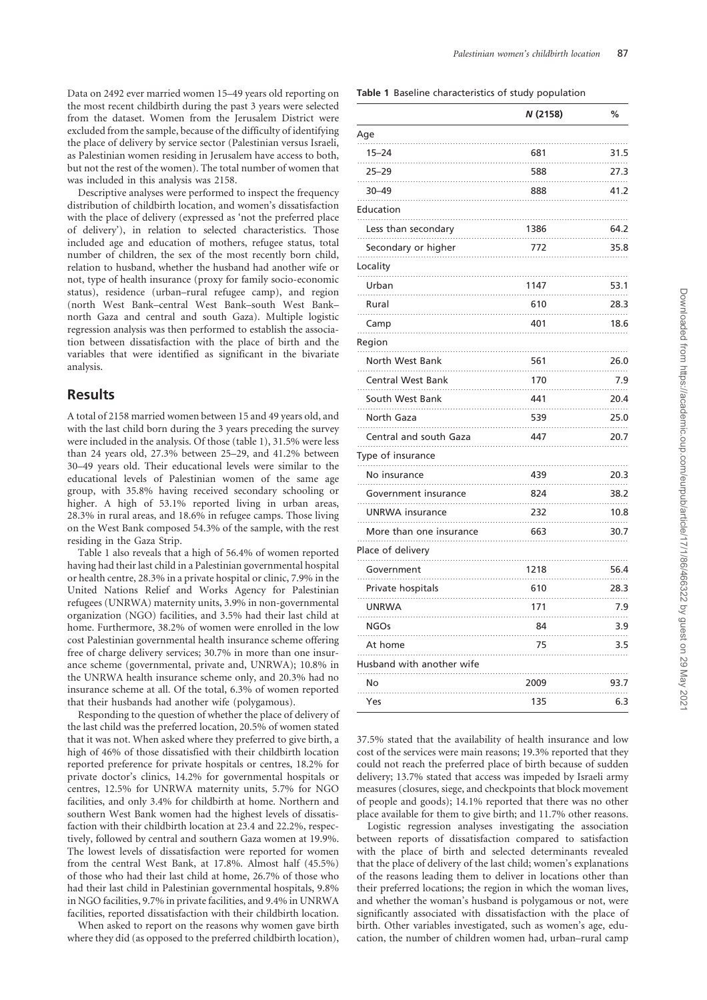Data on 2492 ever married women 15–49 years old reporting on the most recent childbirth during the past 3 years were selected from the dataset. Women from the Jerusalem District were excluded from the sample, because of the difficulty of identifying the place of delivery by service sector (Palestinian versus Israeli, as Palestinian women residing in Jerusalem have access to both, but not the rest of the women). The total number of women that was included in this analysis was 2158.

Descriptive analyses were performed to inspect the frequency distribution of childbirth location, and women's dissatisfaction with the place of delivery (expressed as 'not the preferred place of delivery'), in relation to selected characteristics. Those included age and education of mothers, refugee status, total number of children, the sex of the most recently born child, relation to husband, whether the husband had another wife or not, type of health insurance (proxy for family socio-economic status), residence (urban–rural refugee camp), and region (north West Bank–central West Bank–south West Bank– north Gaza and central and south Gaza). Multiple logistic regression analysis was then performed to establish the association between dissatisfaction with the place of birth and the variables that were identified as significant in the bivariate analysis.

## Results

A total of 2158 married women between 15 and 49 years old, and with the last child born during the 3 years preceding the survey were included in the analysis. Of those (table 1), 31.5% were less than 24 years old, 27.3% between 25–29, and 41.2% between 30–49 years old. Their educational levels were similar to the educational levels of Palestinian women of the same age group, with 35.8% having received secondary schooling or higher. A high of 53.1% reported living in urban areas, 28.3% in rural areas, and 18.6% in refugee camps. Those living on the West Bank composed 54.3% of the sample, with the rest residing in the Gaza Strip.

Table 1 also reveals that a high of 56.4% of women reported having had their last child in a Palestinian governmental hospital or health centre, 28.3% in a private hospital or clinic, 7.9% in the United Nations Relief and Works Agency for Palestinian refugees (UNRWA) maternity units, 3.9% in non-governmental organization (NGO) facilities, and 3.5% had their last child at home. Furthermore, 38.2% of women were enrolled in the low cost Palestinian governmental health insurance scheme offering free of charge delivery services; 30.7% in more than one insurance scheme (governmental, private and, UNRWA); 10.8% in the UNRWA health insurance scheme only, and 20.3% had no insurance scheme at all. Of the total, 6.3% of women reported that their husbands had another wife (polygamous).

Responding to the question of whether the place of delivery of the last child was the preferred location, 20.5% of women stated that it was not. When asked where they preferred to give birth, a high of 46% of those dissatisfied with their childbirth location reported preference for private hospitals or centres, 18.2% for private doctor's clinics, 14.2% for governmental hospitals or centres, 12.5% for UNRWA maternity units, 5.7% for NGO facilities, and only 3.4% for childbirth at home. Northern and southern West Bank women had the highest levels of dissatisfaction with their childbirth location at 23.4 and 22.2%, respectively, followed by central and southern Gaza women at 19.9%. The lowest levels of dissatisfaction were reported for women from the central West Bank, at 17.8%. Almost half (45.5%) of those who had their last child at home, 26.7% of those who had their last child in Palestinian governmental hospitals, 9.8% in NGO facilities, 9.7% in private facilities, and 9.4% in UNRWA facilities, reported dissatisfaction with their childbirth location.

When asked to report on the reasons why women gave birth where they did (as opposed to the preferred childbirth location),

|  |  | Table 1 Baseline characteristics of study population |  |  |
|--|--|------------------------------------------------------|--|--|
|--|--|------------------------------------------------------|--|--|

|                           | N (2158) | $\%$      |
|---------------------------|----------|-----------|
| Age                       |          |           |
| $15 - 24$                 | 681      | 31.5      |
| .<br>25–29                | .<br>588 | .<br>27.3 |
| $30 - 49$                 | 888      | 41.2      |
| Education                 |          |           |
| Less than secondary       | 1386     | 64.2      |
| Secondary or higher       | 772      | 35.8      |
| Locality                  |          |           |
| Urban                     | 1147     | 53.1      |
| Rural                     | 610      | 28.3<br>. |
| Camp                      | 401      | 18.6      |
| Region                    |          |           |
| North West Bank           | 561<br>. | 26.0<br>. |
| Central West Bank         | 170      | 7.9       |
| South West Bank           | 441      | 20.4      |
| North Gaza                | 539      | .<br>25.0 |
| Central and south Gaza    | 447      | 20.7      |
| Type of insurance         |          |           |
| No insurance<br>.         | 439      | 20.3      |
| Government insurance      | .<br>824 | .<br>38.2 |
| UNRWA insurance           | 232      | 10.8      |
| More than one insurance   | 663      | 30.7      |
| Place of delivery         |          |           |
| Government                | 1218     | 56.4<br>. |
| Private hospitals         | 610      | 28.3      |
| UNRWA                     | 171      | 7.9<br>.  |
| <b>NGOs</b><br>.          | 84       | 3.9<br>.  |
| At home                   | 75       | 3.5       |
| Husband with another wife |          |           |
| No                        | 2009     | 93.7      |
| Yes                       | 135      | 6.3       |

37.5% stated that the availability of health insurance and low cost of the services were main reasons; 19.3% reported that they could not reach the preferred place of birth because of sudden delivery; 13.7% stated that access was impeded by Israeli army measures (closures, siege, and checkpoints that block movement of people and goods); 14.1% reported that there was no other place available for them to give birth; and 11.7% other reasons.

Logistic regression analyses investigating the association between reports of dissatisfaction compared to satisfaction with the place of birth and selected determinants revealed that the place of delivery of the last child; women's explanations of the reasons leading them to deliver in locations other than their preferred locations; the region in which the woman lives, and whether the woman's husband is polygamous or not, were significantly associated with dissatisfaction with the place of birth. Other variables investigated, such as women's age, education, the number of children women had, urban–rural camp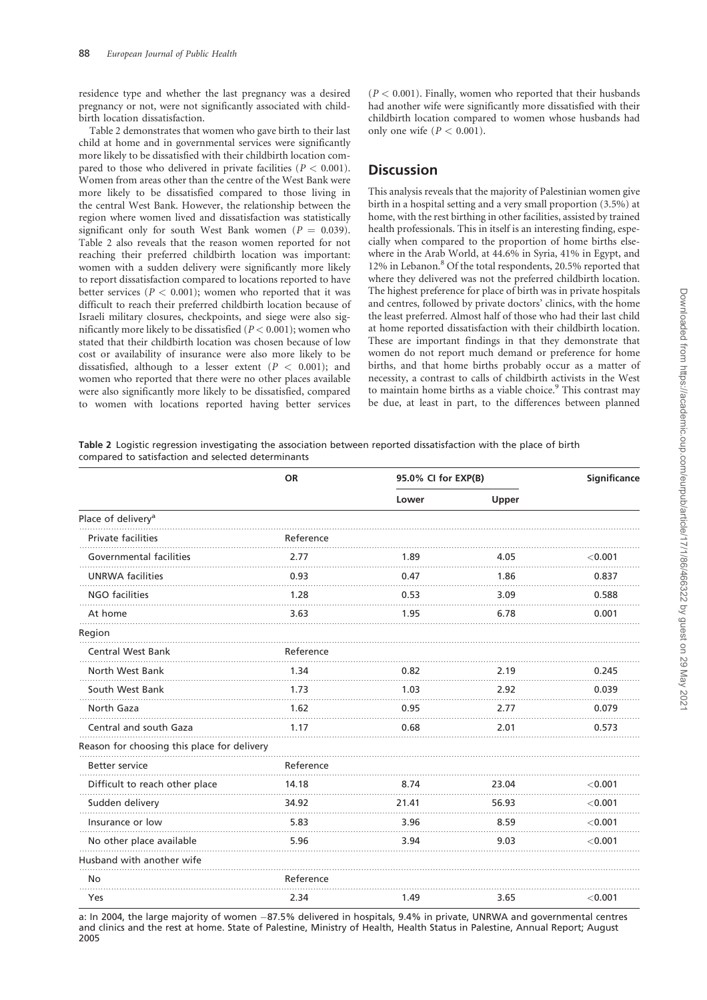residence type and whether the last pregnancy was a desired pregnancy or not, were not significantly associated with childbirth location dissatisfaction.

Table 2 demonstrates that women who gave birth to their last child at home and in governmental services were significantly more likely to be dissatisfied with their childbirth location compared to those who delivered in private facilities  $(P < 0.001)$ . Women from areas other than the centre of the West Bank were more likely to be dissatisfied compared to those living in the central West Bank. However, the relationship between the region where women lived and dissatisfaction was statistically significant only for south West Bank women ( $P = 0.039$ ). Table 2 also reveals that the reason women reported for not reaching their preferred childbirth location was important: women with a sudden delivery were significantly more likely to report dissatisfaction compared to locations reported to have better services ( $P < 0.001$ ); women who reported that it was difficult to reach their preferred childbirth location because of Israeli military closures, checkpoints, and siege were also significantly more likely to be dissatisfied ( $P < 0.001$ ); women who stated that their childbirth location was chosen because of low cost or availability of insurance were also more likely to be dissatisfied, although to a lesser extent ( $P < 0.001$ ); and women who reported that there were no other places available were also significantly more likely to be dissatisfied, compared to women with locations reported having better services  $(P < 0.001)$ . Finally, women who reported that their husbands had another wife were significantly more dissatisfied with their childbirth location compared to women whose husbands had only one wife  $(P < 0.001)$ .

#### **Discussion**

This analysis reveals that the majority of Palestinian women give birth in a hospital setting and a very small proportion (3.5%) at home, with the rest birthing in other facilities, assisted by trained health professionals. This in itself is an interesting finding, especially when compared to the proportion of home births elsewhere in the Arab World, at 44.6% in Syria, 41% in Egypt, and 12% in Lebanon.<sup>8</sup> Of the total respondents, 20.5% reported that where they delivered was not the preferred childbirth location. The highest preference for place of birth was in private hospitals and centres, followed by private doctors' clinics, with the home the least preferred. Almost half of those who had their last child at home reported dissatisfaction with their childbirth location. These are important findings in that they demonstrate that women do not report much demand or preference for home births, and that home births probably occur as a matter of necessity, a contrast to calls of childbirth activists in the West to maintain home births as a viable choice.<sup>9</sup> This contrast may be due, at least in part, to the differences between planned

Table 2 Logistic regression investigating the association between reported dissatisfaction with the place of birth compared to satisfaction and selected determinants

|                                             | <b>OR</b> | 95.0% CI for EXP(B) | Significance |         |
|---------------------------------------------|-----------|---------------------|--------------|---------|
|                                             |           | Lower               | <b>Upper</b> |         |
| Place of delivery <sup>a</sup>              |           |                     |              |         |
| Private facilities                          | Reference |                     |              |         |
| <b>Governmental facilities</b>              | 2.77      | 1.89                | 4.05         | < 0.001 |
| <b>UNRWA facilities</b>                     | 0.93      | 0.47                | 1.86         | 0.837   |
| NGO facilities                              | 1.28      | 0.53                | 3.09         | 0.588   |
| At home                                     | 3.63      | 1.95                | 6.78         | 0.001   |
| Region                                      |           |                     |              |         |
| <b>Central West Bank</b>                    | Reference |                     |              |         |
| North West Bank                             | 1.34      | 0.82                | 2.19         | 0.245   |
| South West Bank                             | 1.73      | 1.03                | 2.92         | 0.039   |
| North Gaza                                  | 1.62      | 0.95                | 2.77         | 0.079   |
| Central and south Gaza                      | 1.17      | 0.68                | 2.01         | 0.573   |
| Reason for choosing this place for delivery |           |                     |              |         |
| <b>Better service</b>                       | Reference |                     |              |         |
| Difficult to reach other place              | 14.18     | 8.74                | 23.04        | < 0.001 |
| Sudden delivery                             | 34.92     | 21.41               | 56.93        | < 0.001 |
| Insurance or low                            | 5.83      | 3.96                | 8.59         | < 0.001 |
| No other place available                    | 5.96      | 3.94                | 9.03         | < 0.001 |
| Husband with another wife                   |           |                     |              |         |
| No                                          | Reference |                     |              |         |
| Yes                                         | 2.34      | 1.49                | 3.65         | < 0.001 |

a: In 2004, the large majority of women -87.5% delivered in hospitals, 9.4% in private, UNRWA and governmental centres and clinics and the rest at home. State of Palestine, Ministry of Health, Health Status in Palestine, Annual Report; August 2005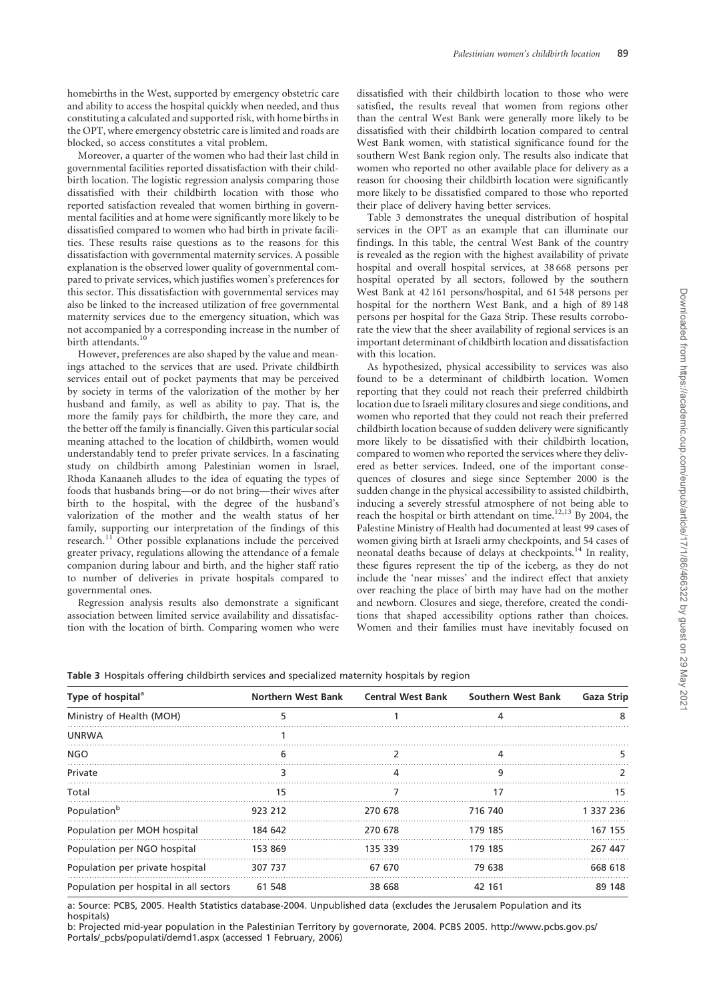homebirths in the West, supported by emergency obstetric care and ability to access the hospital quickly when needed, and thus constituting a calculated and supported risk, with home births in the OPT, where emergency obstetric care is limited and roads are blocked, so access constitutes a vital problem.

Moreover, a quarter of the women who had their last child in governmental facilities reported dissatisfaction with their childbirth location. The logistic regression analysis comparing those dissatisfied with their childbirth location with those who reported satisfaction revealed that women birthing in governmental facilities and at home were significantly more likely to be dissatisfied compared to women who had birth in private facilities. These results raise questions as to the reasons for this dissatisfaction with governmental maternity services. A possible explanation is the observed lower quality of governmental compared to private services, which justifies women's preferences for this sector. This dissatisfaction with governmental services may also be linked to the increased utilization of free governmental maternity services due to the emergency situation, which was not accompanied by a corresponding increase in the number of birth attendants.<sup>10</sup>

However, preferences are also shaped by the value and meanings attached to the services that are used. Private childbirth services entail out of pocket payments that may be perceived by society in terms of the valorization of the mother by her husband and family, as well as ability to pay. That is, the more the family pays for childbirth, the more they care, and the better off the family is financially. Given this particular social meaning attached to the location of childbirth, women would understandably tend to prefer private services. In a fascinating study on childbirth among Palestinian women in Israel, Rhoda Kanaaneh alludes to the idea of equating the types of foods that husbands bring—or do not bring—their wives after birth to the hospital, with the degree of the husband's valorization of the mother and the wealth status of her family, supporting our interpretation of the findings of this research.<sup>11</sup> Other possible explanations include the perceived greater privacy, regulations allowing the attendance of a female companion during labour and birth, and the higher staff ratio to number of deliveries in private hospitals compared to governmental ones.

Regression analysis results also demonstrate a significant association between limited service availability and dissatisfaction with the location of birth. Comparing women who were dissatisfied with their childbirth location to those who were satisfied, the results reveal that women from regions other than the central West Bank were generally more likely to be dissatisfied with their childbirth location compared to central West Bank women, with statistical significance found for the southern West Bank region only. The results also indicate that women who reported no other available place for delivery as a reason for choosing their childbirth location were significantly more likely to be dissatisfied compared to those who reported their place of delivery having better services.

Table 3 demonstrates the unequal distribution of hospital services in the OPT as an example that can illuminate our findings. In this table, the central West Bank of the country is revealed as the region with the highest availability of private hospital and overall hospital services, at 38 668 persons per hospital operated by all sectors, followed by the southern West Bank at 42 161 persons/hospital, and 61 548 persons per hospital for the northern West Bank, and a high of 89 148 persons per hospital for the Gaza Strip. These results corroborate the view that the sheer availability of regional services is an important determinant of childbirth location and dissatisfaction with this location.

As hypothesized, physical accessibility to services was also found to be a determinant of childbirth location. Women reporting that they could not reach their preferred childbirth location due to Israeli military closures and siege conditions, and women who reported that they could not reach their preferred childbirth location because of sudden delivery were significantly more likely to be dissatisfied with their childbirth location, compared to women who reported the services where they delivered as better services. Indeed, one of the important consequences of closures and siege since September 2000 is the sudden change in the physical accessibility to assisted childbirth, inducing a severely stressful atmosphere of not being able to reach the hospital or birth attendant on time.<sup>12,13</sup> By 2004, the Palestine Ministry of Health had documented at least 99 cases of women giving birth at Israeli army checkpoints, and 54 cases of neonatal deaths because of delays at checkpoints.<sup>14</sup> In reality, these figures represent the tip of the iceberg, as they do not include the 'near misses' and the indirect effect that anxiety over reaching the place of birth may have had on the mother and newborn. Closures and siege, therefore, created the conditions that shaped accessibility options rather than choices. Women and their families must have inevitably focused on

|  |  |  |  | Table 3 Hospitals offering childbirth services and specialized maternity hospitals by region |  |
|--|--|--|--|----------------------------------------------------------------------------------------------|--|
|  |  |  |  |                                                                                              |  |

| <b>Northern West Bank</b> | <b>Central West Bank</b> | Southern West Bank | <b>Gaza Strip</b> |
|---------------------------|--------------------------|--------------------|-------------------|
|                           |                          |                    |                   |
|                           |                          |                    |                   |
| 6                         |                          |                    |                   |
|                           |                          | 9                  |                   |
| 15                        |                          | 17                 | 15                |
| 923 212                   | 270 678                  | 716 740            | 1 337 236         |
| 184 642                   | 270 678                  | 179 185            | 167 155           |
| 153 869                   | 135 339                  | 179 185            | 267 447           |
| 307 737                   | 67 670                   | 79 638             | 668 618           |
| 61 548                    | 38 668                   | 42 161             | 89 148            |
|                           |                          |                    |                   |

a: Source: PCBS, 2005. Health Statistics database-2004. Unpublished data (excludes the Jerusalem Population and its hospitals)

b: Projected mid-year population in the Palestinian Territory by governorate, 2004. PCBS 2005.<http://www.pcbs.gov.ps/> Portals/\_pcbs/populati/demd1.aspx (accessed 1 February, 2006)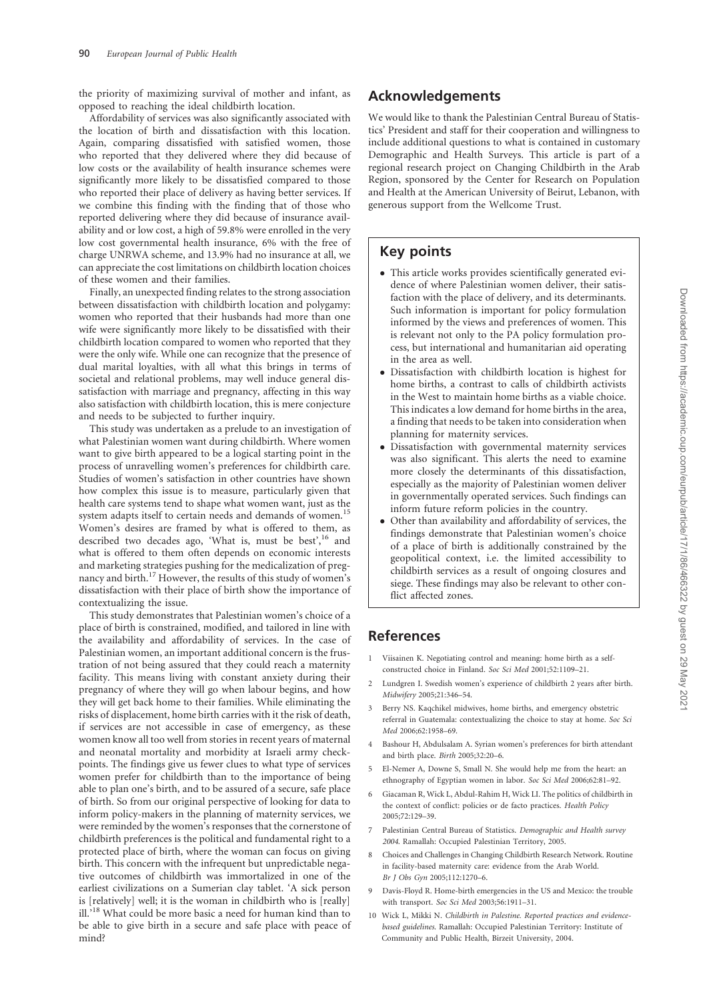the priority of maximizing survival of mother and infant, as opposed to reaching the ideal childbirth location.

Affordability of services was also significantly associated with the location of birth and dissatisfaction with this location. Again, comparing dissatisfied with satisfied women, those who reported that they delivered where they did because of low costs or the availability of health insurance schemes were significantly more likely to be dissatisfied compared to those who reported their place of delivery as having better services. If we combine this finding with the finding that of those who reported delivering where they did because of insurance availability and or low cost, a high of 59.8% were enrolled in the very low cost governmental health insurance, 6% with the free of charge UNRWA scheme, and 13.9% had no insurance at all, we can appreciate the cost limitations on childbirth location choices of these women and their families.

Finally, an unexpected finding relates to the strong association between dissatisfaction with childbirth location and polygamy: women who reported that their husbands had more than one wife were significantly more likely to be dissatisfied with their childbirth location compared to women who reported that they were the only wife. While one can recognize that the presence of dual marital loyalties, with all what this brings in terms of societal and relational problems, may well induce general dissatisfaction with marriage and pregnancy, affecting in this way also satisfaction with childbirth location, this is mere conjecture and needs to be subjected to further inquiry.

This study was undertaken as a prelude to an investigation of what Palestinian women want during childbirth. Where women want to give birth appeared to be a logical starting point in the process of unravelling women's preferences for childbirth care. Studies of women's satisfaction in other countries have shown how complex this issue is to measure, particularly given that health care systems tend to shape what women want, just as the system adapts itself to certain needs and demands of women.<sup>15</sup> Women's desires are framed by what is offered to them, as described two decades ago, 'What is, must be best',<sup>16</sup> and what is offered to them often depends on economic interests and marketing strategies pushing for the medicalization of pregnancy and birth.<sup>17</sup> However, the results of this study of women's dissatisfaction with their place of birth show the importance of contextualizing the issue.

This study demonstrates that Palestinian women's choice of a place of birth is constrained, modified, and tailored in line with the availability and affordability of services. In the case of Palestinian women, an important additional concern is the frustration of not being assured that they could reach a maternity facility. This means living with constant anxiety during their pregnancy of where they will go when labour begins, and how they will get back home to their families. While eliminating the risks of displacement, home birth carries with it the risk of death, if services are not accessible in case of emergency, as these women know all too well from stories in recent years of maternal and neonatal mortality and morbidity at Israeli army checkpoints. The findings give us fewer clues to what type of services women prefer for childbirth than to the importance of being able to plan one's birth, and to be assured of a secure, safe place of birth. So from our original perspective of looking for data to inform policy-makers in the planning of maternity services, we were reminded by the women's responses that the cornerstone of childbirth preferences is the political and fundamental right to a protected place of birth, where the woman can focus on giving birth. This concern with the infrequent but unpredictable negative outcomes of childbirth was immortalized in one of the earliest civilizations on a Sumerian clay tablet. 'A sick person is [relatively] well; it is the woman in childbirth who is [really]  $8$  What could be more basic a need for human kind than to be able to give birth in a secure and safe place with peace of mind?

# Acknowledgements

We would like to thank the Palestinian Central Bureau of Statistics' President and staff for their cooperation and willingness to include additional questions to what is contained in customary Demographic and Health Surveys. This article is part of a regional research project on Changing Childbirth in the Arab Region, sponsored by the Center for Research on Population and Health at the American University of Beirut, Lebanon, with generous support from the Wellcome Trust.

# Key points

- This article works provides scientifically generated evidence of where Palestinian women deliver, their satisfaction with the place of delivery, and its determinants. Such information is important for policy formulation informed by the views and preferences of women. This is relevant not only to the PA policy formulation process, but international and humanitarian aid operating in the area as well.
- $\bullet$  Dissatisfaction with childbirth location is highest for home births, a contrast to calls of childbirth activists in the West to maintain home births as a viable choice. This indicates a low demand for home births in the area, a finding that needs to be taken into consideration when planning for maternity services.
- $\bullet$  Dissatisfaction with governmental maternity services was also significant. This alerts the need to examine more closely the determinants of this dissatisfaction, especially as the majority of Palestinian women deliver in governmentally operated services. Such findings can inform future reform policies in the country.
- $\bullet$  Other than availability and affordability of services, the findings demonstrate that Palestinian women's choice of a place of birth is additionally constrained by the geopolitical context, i.e. the limited accessibility to childbirth services as a result of ongoing closures and siege. These findings may also be relevant to other conflict affected zones.

# References

- 1 Viisainen K. Negotiating control and meaning: home birth as a selfconstructed choice in Finland. Soc Sci Med 2001;52:1109–21.
- 2 Lundgren I. Swedish women's experience of childbirth 2 years after birth. Midwifery 2005;21:346–54.
- 3 Berry NS. Kaqchikel midwives, home births, and emergency obstetric referral in Guatemala: contextualizing the choice to stay at home. Soc Sci Med 2006;62:1958–69.
- Bashour H, Abdulsalam A. Syrian women's preferences for birth attendant and birth place. Birth 2005;32:20–6.
- 5 El-Nemer A, Downe S, Small N. She would help me from the heart: an ethnography of Egyptian women in labor. Soc Sci Med 2006;62:81–92.
- 6 Giacaman R, Wick L, Abdul-Rahim H, Wick LI. The politics of childbirth in the context of conflict: policies or de facto practices. Health Policy 2005;72:129–39.
- 7 Palestinian Central Bureau of Statistics. Demographic and Health survey 2004. Ramallah: Occupied Palestinian Territory, 2005.
- 8 Choices and Challenges in Changing Childbirth Research Network. Routine in facility-based maternity care: evidence from the Arab World. Br J Obs Gyn 2005;112:1270–6.
- Davis-Floyd R. Home-birth emergencies in the US and Mexico: the trouble with transport. Soc Sci Med 2003;56:1911–31.
- 10 Wick L, Mikki N. Childbirth in Palestine. Reported practices and evidencebased guidelines. Ramallah: Occupied Palestinian Territory: Institute of Community and Public Health, Birzeit University, 2004.